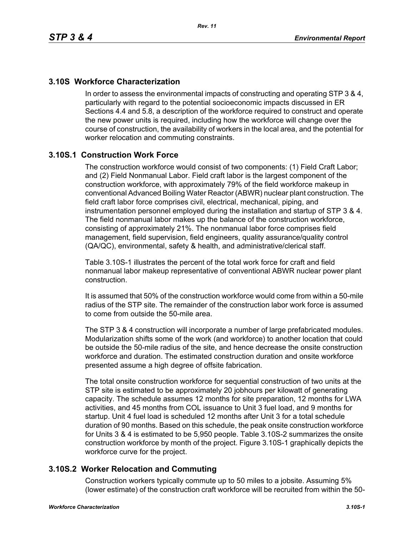# **3.10S Workforce Characterization**

In order to assess the environmental impacts of constructing and operating STP 3 & 4, particularly with regard to the potential socioeconomic impacts discussed in ER Sections 4.4 and 5.8, a description of the workforce required to construct and operate the new power units is required, including how the workforce will change over the course of construction, the availability of workers in the local area, and the potential for worker relocation and commuting constraints.

# **3.10S.1 Construction Work Force**

The construction workforce would consist of two components: (1) Field Craft Labor; and (2) Field Nonmanual Labor. Field craft labor is the largest component of the construction workforce, with approximately 79% of the field workforce makeup in conventional Advanced Boiling Water Reactor (ABWR) nuclear plant construction. The field craft labor force comprises civil, electrical, mechanical, piping, and instrumentation personnel employed during the installation and startup of STP 3 & 4. The field nonmanual labor makes up the balance of the construction workforce, consisting of approximately 21%. The nonmanual labor force comprises field management, field supervision, field engineers, quality assurance/quality control (QA/QC), environmental, safety & health, and administrative/clerical staff.

Table 3.10S-1 illustrates the percent of the total work force for craft and field nonmanual labor makeup representative of conventional ABWR nuclear power plant construction.

It is assumed that 50% of the construction workforce would come from within a 50-mile radius of the STP site. The remainder of the construction labor work force is assumed to come from outside the 50-mile area.

The STP 3 & 4 construction will incorporate a number of large prefabricated modules. Modularization shifts some of the work (and workforce) to another location that could be outside the 50-mile radius of the site, and hence decrease the onsite construction workforce and duration. The estimated construction duration and onsite workforce presented assume a high degree of offsite fabrication.

The total onsite construction workforce for sequential construction of two units at the STP site is estimated to be approximately 20 jobhours per kilowatt of generating capacity. The schedule assumes 12 months for site preparation, 12 months for LWA activities, and 45 months from COL issuance to Unit 3 fuel load, and 9 months for startup. Unit 4 fuel load is scheduled 12 months after Unit 3 for a total schedule duration of 90 months. Based on this schedule, the peak onsite construction workforce for Units 3 & 4 is estimated to be 5,950 people. Table 3.10S-2 summarizes the onsite construction workforce by month of the project. Figure 3.10S-1 graphically depicts the workforce curve for the project.

## **3.10S.2 Worker Relocation and Commuting**

Construction workers typically commute up to 50 miles to a jobsite. Assuming 5% (lower estimate) of the construction craft workforce will be recruited from within the 50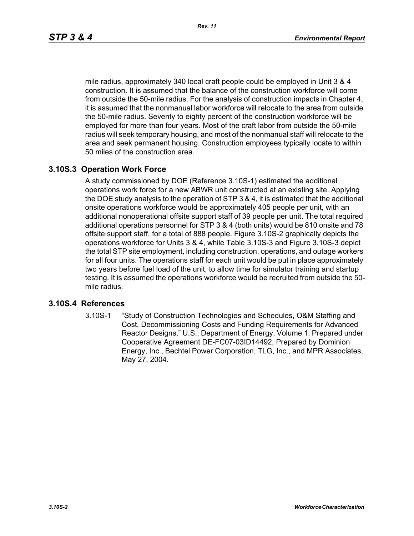mile radius, approximately 340 local craft people could be employed in Unit 3 & 4 construction. It is assumed that the balance of the construction workforce will come from outside the 50-mile radius. For the analysis of construction impacts in Chapter 4, it is assumed that the nonmanual labor workforce will relocate to the area from outside the 50-mile radius. Seventy to eighty percent of the construction workforce will be employed for more than four years. Most of the craft labor from outside the 50-mile radius will seek temporary housing, and most of the nonmanual staff will relocate to the area and seek permanent housing. Construction employees typically locate to within 50 miles of the construction area.

## **3.10S.3 Operation Work Force**

A study commissioned by DOE (Reference 3.10S-1) estimated the additional operations work force for a new ABWR unit constructed at an existing site. Applying the DOE study analysis to the operation of STP 3 & 4, it is estimated that the additional onsite operations workforce would be approximately 405 people per unit, with an additional nonoperational offsite support staff of 39 people per unit. The total required additional operations personnel for STP 3 & 4 (both units) would be 810 onsite and 78 offsite support staff, for a total of 888 people. Figure 3.10S-2 graphically depicts the operations workforce for Units 3 & 4, while Table 3.10S-3 and Figure 3.10S-3 depict the total STP site employment, including construction, operations, and outage workers for all four units. The operations staff for each unit would be put in place approximately two years before fuel load of the unit, to allow time for simulator training and startup testing. It is assumed the operations workforce would be recruited from outside the 50 mile radius.

#### **3.10S.4 References**

3.10S-1 "Study of Construction Technologies and Schedules, O&M Staffing and Cost, Decommissioning Costs and Funding Requirements for Advanced Reactor Designs," U.S., Department of Energy, Volume 1. Prepared under Cooperative Agreement DE-FC07-03ID14492, Prepared by Dominion Energy, Inc., Bechtel Power Corporation, TLG, Inc., and MPR Associates, May 27, 2004.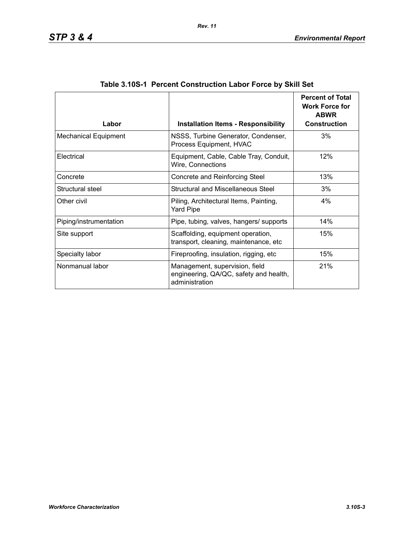| Labor                       | <b>Installation Items - Responsibility</b>                                                 | <b>Percent of Total</b><br><b>Work Force for</b><br><b>ABWR</b><br><b>Construction</b> |
|-----------------------------|--------------------------------------------------------------------------------------------|----------------------------------------------------------------------------------------|
| <b>Mechanical Equipment</b> | NSSS, Turbine Generator, Condenser,<br>Process Equipment, HVAC                             | 3%                                                                                     |
| Electrical                  | Equipment, Cable, Cable Tray, Conduit,<br>Wire, Connections                                | 12%                                                                                    |
| Concrete                    | Concrete and Reinforcing Steel                                                             | 13%                                                                                    |
| Structural steel            | Structural and Miscellaneous Steel                                                         | 3%                                                                                     |
| Other civil                 | Piling, Architectural Items, Painting,<br>Yard Pipe                                        | 4%                                                                                     |
| Piping/instrumentation      | Pipe, tubing, valves, hangers/ supports                                                    | 14%                                                                                    |
| Site support                | Scaffolding, equipment operation,<br>transport, cleaning, maintenance, etc.                | 15%                                                                                    |
| Specialty labor             | Fireproofing, insulation, rigging, etc.                                                    | 15%                                                                                    |
| Nonmanual labor             | Management, supervision, field<br>engineering, QA/QC, safety and health,<br>administration | 21%                                                                                    |

| Table 3.10S-1 Percent Construction Labor Force by Skill Set |  |  |  |  |
|-------------------------------------------------------------|--|--|--|--|
|                                                             |  |  |  |  |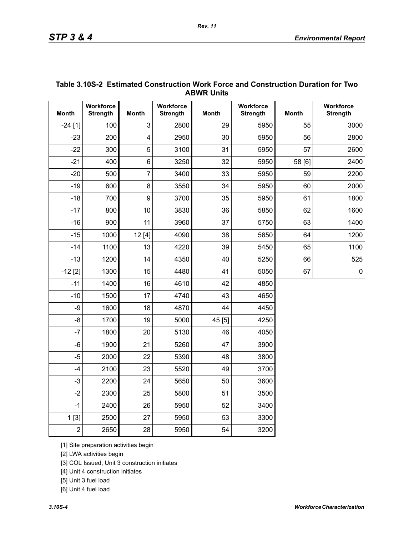| <b>ABWR UNITS</b> |                              |                         |                              |              |                              |              |                              |  |  |
|-------------------|------------------------------|-------------------------|------------------------------|--------------|------------------------------|--------------|------------------------------|--|--|
| <b>Month</b>      | Workforce<br><b>Strength</b> | <b>Month</b>            | Workforce<br><b>Strength</b> | <b>Month</b> | Workforce<br><b>Strength</b> | <b>Month</b> | Workforce<br><b>Strength</b> |  |  |
| $-24[1]$          | 100                          | 3                       | 2800                         | 29           | 5950                         | 55           | 3000                         |  |  |
| $-23$             | 200                          | $\overline{\mathbf{4}}$ | 2950                         | 30           | 5950                         | 56           | 2800                         |  |  |
| $-22$             | 300                          | 5                       | 3100                         | 31           | 5950                         | 57           | 2600                         |  |  |
| $-21$             | 400                          | 6                       | 3250                         | 32           | 5950                         | 58 [6]       | 2400                         |  |  |
| $-20$             | 500                          | $\overline{7}$          | 3400                         | 33           | 5950                         | 59           | 2200                         |  |  |
| $-19$             | 600                          | 8                       | 3550                         | 34           | 5950                         | 60           | 2000                         |  |  |
| $-18$             | 700                          | 9                       | 3700                         | 35           | 5950                         | 61           | 1800                         |  |  |
| $-17$             | 800                          | 10                      | 3830                         | 36           | 5850                         | 62           | 1600                         |  |  |
| $-16$             | 900                          | 11                      | 3960                         | 37           | 5750                         | 63           | 1400                         |  |  |
| $-15$             | 1000                         | 12[4]                   | 4090                         | 38           | 5650                         | 64           | 1200                         |  |  |
| $-14$             | 1100                         | 13                      | 4220                         | 39           | 5450                         | 65           | 1100                         |  |  |
| $-13$             | 1200                         | 14                      | 4350                         | 40           | 5250                         | 66           | 525                          |  |  |
| $-12$ [2]         | 1300                         | 15                      | 4480                         | 41           | 5050                         | 67           | $\pmb{0}$                    |  |  |
| $-11$             | 1400                         | 16                      | 4610                         | 42           | 4850                         |              |                              |  |  |
| $-10$             | 1500                         | 17                      | 4740                         | 43           | 4650                         |              |                              |  |  |
| -9                | 1600                         | 18                      | 4870                         | 44           | 4450                         |              |                              |  |  |
| $-8$              | 1700                         | 19                      | 5000                         | 45 [5]       | 4250                         |              |                              |  |  |
| $-7$              | 1800                         | 20                      | 5130                         | 46           | 4050                         |              |                              |  |  |
| $-6$              | 1900                         | 21                      | 5260                         | 47           | 3900                         |              |                              |  |  |
| $-5$              | 2000                         | 22                      | 5390                         | 48           | 3800                         |              |                              |  |  |
| $-4$              | 2100                         | 23                      | 5520                         | 49           | 3700                         |              |                              |  |  |
| $-3$              | 2200                         | 24                      | 5650                         | 50           | 3600                         |              |                              |  |  |
| $-2$              | 2300                         | 25                      | 5800                         | 51           | 3500                         |              |                              |  |  |
| $-1$              | 2400                         | 26                      | 5950                         | 52           | 3400                         |              |                              |  |  |
| 1[3]              | 2500                         | 27                      | 5950                         | 53           | 3300                         |              |                              |  |  |
| $\overline{2}$    | 2650                         | 28                      | 5950                         | 54           | 3200                         |              |                              |  |  |

## **Table 3.10S-2 Estimated Construction Work Force and Construction Duration for Two ABWR Units**

[1] Site preparation activities begin

[2] LWA activities begin

[3] COL Issued, Unit 3 construction initiates

[4] Unit 4 construction initiates

[5] Unit 3 fuel load

[6] Unit 4 fuel load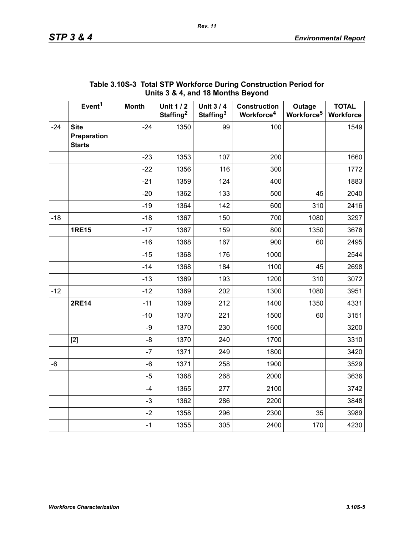|       |                                             |              | $\frac{1}{2}$ or $\frac{1}{2}$ and to months beyond |                                          |                                               |                                  |                           |
|-------|---------------------------------------------|--------------|-----------------------------------------------------|------------------------------------------|-----------------------------------------------|----------------------------------|---------------------------|
|       | Event <sup>1</sup>                          | <b>Month</b> | <b>Unit 1/2</b><br>Staffing <sup>2</sup>            | <b>Unit 3/4</b><br>Staffing <sup>3</sup> | <b>Construction</b><br>Workforce <sup>4</sup> | Outage<br>Workforce <sup>5</sup> | <b>TOTAL</b><br>Workforce |
| $-24$ | <b>Site</b><br>Preparation<br><b>Starts</b> | $-24$        | 1350                                                | 99                                       | 100                                           |                                  | 1549                      |
|       |                                             | $-23$        | 1353                                                | 107                                      | 200                                           |                                  | 1660                      |
|       |                                             | $-22$        | 1356                                                | 116                                      | 300                                           |                                  | 1772                      |
|       |                                             | $-21$        | 1359                                                | 124                                      | 400                                           |                                  | 1883                      |
|       |                                             | $-20$        | 1362                                                | 133                                      | 500                                           | 45                               | 2040                      |
|       |                                             | $-19$        | 1364                                                | 142                                      | 600                                           | 310                              | 2416                      |
| $-18$ |                                             | $-18$        | 1367                                                | 150                                      | 700                                           | 1080                             | 3297                      |
|       | <b>1RE15</b>                                | $-17$        | 1367                                                | 159                                      | 800                                           | 1350                             | 3676                      |
|       |                                             | $-16$        | 1368                                                | 167                                      | 900                                           | 60                               | 2495                      |
|       |                                             | $-15$        | 1368                                                | 176                                      | 1000                                          |                                  | 2544                      |
|       |                                             | $-14$        | 1368                                                | 184                                      | 1100                                          | 45                               | 2698                      |
|       |                                             | $-13$        | 1369                                                | 193                                      | 1200                                          | 310                              | 3072                      |
| $-12$ |                                             | $-12$        | 1369                                                | 202                                      | 1300                                          | 1080                             | 3951                      |
|       | <b>2RE14</b>                                | $-11$        | 1369                                                | 212                                      | 1400                                          | 1350                             | 4331                      |
|       |                                             | $-10$        | 1370                                                | 221                                      | 1500                                          | 60                               | 3151                      |
|       |                                             | -9           | 1370                                                | 230                                      | 1600                                          |                                  | 3200                      |
|       | $[2]$                                       | -8           | 1370                                                | 240                                      | 1700                                          |                                  | 3310                      |
|       |                                             | $-7$         | 1371                                                | 249                                      | 1800                                          |                                  | 3420                      |
| -6    |                                             | $-6$         | 1371                                                | 258                                      | 1900                                          |                                  | 3529                      |
|       |                                             | $-5$         | 1368                                                | 268                                      | 2000                                          |                                  | 3636                      |
|       |                                             | $-4$         | 1365                                                | 277                                      | 2100                                          |                                  | 3742                      |
|       |                                             | $-3$         | 1362                                                | 286                                      | 2200                                          |                                  | 3848                      |
|       |                                             | $-2$         | 1358                                                | 296                                      | 2300                                          | 35                               | 3989                      |
|       |                                             | $-1$         | 1355                                                | 305                                      | 2400                                          | 170                              | 4230                      |

## **Table 3.10S-3 Total STP Workforce During Construction Period for Units 3 & 4, and 18 Months Beyond**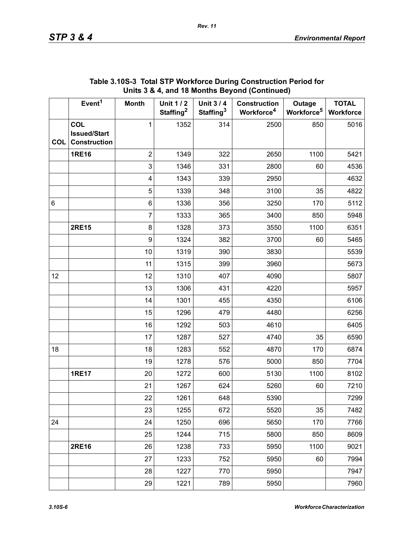|            | Event <sup>1</sup>  | <b>Month</b>   | <b>Unit 1/2</b>       | <b>Unit 3/4</b>       | $\frac{1}{2}$ or $\frac{1}{2}$ , and to months beyond (commuted)<br><b>Construction</b> | Outage                 | <b>TOTAL</b> |
|------------|---------------------|----------------|-----------------------|-----------------------|-----------------------------------------------------------------------------------------|------------------------|--------------|
|            |                     |                | Staffing <sup>2</sup> | Staffing <sup>3</sup> | Workforce <sup>4</sup>                                                                  | Workforce <sup>5</sup> | Workforce    |
|            | <b>COL</b>          | 1              | 1352                  | 314                   | 2500                                                                                    | 850                    | 5016         |
|            | <b>Issued/Start</b> |                |                       |                       |                                                                                         |                        |              |
| <b>COL</b> | <b>Construction</b> |                |                       |                       |                                                                                         |                        |              |
|            | <b>1RE16</b>        | $\overline{2}$ | 1349                  | 322                   | 2650                                                                                    | 1100                   | 5421         |
|            |                     | 3              | 1346                  | 331                   | 2800                                                                                    | 60                     | 4536         |
|            |                     | 4              | 1343                  | 339                   | 2950                                                                                    |                        | 4632         |
|            |                     | 5              | 1339                  | 348                   | 3100                                                                                    | 35                     | 4822         |
| 6          |                     | 6              | 1336                  | 356                   | 3250                                                                                    | 170                    | 5112         |
|            |                     | $\overline{7}$ | 1333                  | 365                   | 3400                                                                                    | 850                    | 5948         |
|            | <b>2RE15</b>        | 8              | 1328                  | 373                   | 3550                                                                                    | 1100                   | 6351         |
|            |                     | 9              | 1324                  | 382                   | 3700                                                                                    | 60                     | 5465         |
|            |                     | 10             | 1319                  | 390                   | 3830                                                                                    |                        | 5539         |
|            |                     | 11             | 1315                  | 399                   | 3960                                                                                    |                        | 5673         |
| 12         |                     | 12             | 1310                  | 407                   | 4090                                                                                    |                        | 5807         |
|            |                     | 13             | 1306                  | 431                   | 4220                                                                                    |                        | 5957         |
|            |                     | 14             | 1301                  | 455                   | 4350                                                                                    |                        | 6106         |
|            |                     | 15             | 1296                  | 479                   | 4480                                                                                    |                        | 6256         |
|            |                     | 16             | 1292                  | 503                   | 4610                                                                                    |                        | 6405         |
|            |                     | 17             | 1287                  | 527                   | 4740                                                                                    | 35                     | 6590         |
| 18         |                     | 18             | 1283                  | 552                   | 4870                                                                                    | 170                    | 6874         |
|            |                     | 19             | 1278                  | 576                   | 5000                                                                                    | 850                    | 7704         |
|            | <b>1RE17</b>        | 20             | 1272                  | 600                   | 5130                                                                                    | 1100                   | 8102         |
|            |                     | 21             | 1267                  | 624                   | 5260                                                                                    | 60                     | 7210         |
|            |                     | 22             | 1261                  | 648                   | 5390                                                                                    |                        | 7299         |
|            |                     | 23             | 1255                  | 672                   | 5520                                                                                    | 35                     | 7482         |
| 24         |                     | 24             | 1250                  | 696                   | 5650                                                                                    | 170                    | 7766         |
|            |                     | 25             | 1244                  | 715                   | 5800                                                                                    | 850                    | 8609         |
|            | <b>2RE16</b>        | 26             | 1238                  | 733                   | 5950                                                                                    | 1100                   | 9021         |
|            |                     | 27             | 1233                  | 752                   | 5950                                                                                    | 60                     | 7994         |
|            |                     | 28             | 1227                  | 770                   | 5950                                                                                    |                        | 7947         |
|            |                     | 29             | 1221                  | 789                   | 5950                                                                                    |                        | 7960         |
|            |                     |                |                       |                       |                                                                                         |                        |              |

## **Table 3.10S-3 Total STP Workforce During Construction Period for Units 3 & 4, and 18 Months Beyond (Continued)**

*Rev. 11*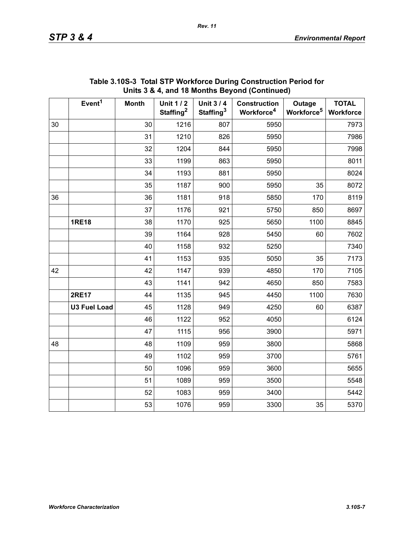|    | Event <sup>1</sup>  | <b>Month</b> | <b>Unit 1/2</b><br>Staffing <sup>2</sup> | <b>Unit 3/4</b><br>Staffing <sup>3</sup> | <b>Construction</b><br>Workforce <sup>4</sup> | Outage<br>Workforce <sup>5</sup> | <b>TOTAL</b><br>Workforce |
|----|---------------------|--------------|------------------------------------------|------------------------------------------|-----------------------------------------------|----------------------------------|---------------------------|
| 30 |                     | 30           | 1216                                     | 807                                      | 5950                                          |                                  | 7973                      |
|    |                     | 31           | 1210                                     | 826                                      | 5950                                          |                                  | 7986                      |
|    |                     | 32           | 1204                                     | 844                                      | 5950                                          |                                  | 7998                      |
|    |                     | 33           | 1199                                     | 863                                      | 5950                                          |                                  | 8011                      |
|    |                     | 34           | 1193                                     | 881                                      | 5950                                          |                                  | 8024                      |
|    |                     | 35           | 1187                                     | 900                                      | 5950                                          | 35                               | 8072                      |
| 36 |                     | 36           | 1181                                     | 918                                      | 5850                                          | 170                              | 8119                      |
|    |                     | 37           | 1176                                     | 921                                      | 5750                                          | 850                              | 8697                      |
|    | <b>1RE18</b>        | 38           | 1170                                     | 925                                      | 5650                                          | 1100                             | 8845                      |
|    |                     | 39           | 1164                                     | 928                                      | 5450                                          | 60                               | 7602                      |
|    |                     | 40           | 1158                                     | 932                                      | 5250                                          |                                  | 7340                      |
|    |                     | 41           | 1153                                     | 935                                      | 5050                                          | 35                               | 7173                      |
| 42 |                     | 42           | 1147                                     | 939                                      | 4850                                          | 170                              | 7105                      |
|    |                     | 43           | 1141                                     | 942                                      | 4650                                          | 850                              | 7583                      |
|    | <b>2RE17</b>        | 44           | 1135                                     | 945                                      | 4450                                          | 1100                             | 7630                      |
|    | <b>U3 Fuel Load</b> | 45           | 1128                                     | 949                                      | 4250                                          | 60                               | 6387                      |
|    |                     | 46           | 1122                                     | 952                                      | 4050                                          |                                  | 6124                      |
|    |                     | 47           | 1115                                     | 956                                      | 3900                                          |                                  | 5971                      |
| 48 |                     | 48           | 1109                                     | 959                                      | 3800                                          |                                  | 5868                      |
|    |                     | 49           | 1102                                     | 959                                      | 3700                                          |                                  | 5761                      |
|    |                     | 50           | 1096                                     | 959                                      | 3600                                          |                                  | 5655                      |
|    |                     | 51           | 1089                                     | 959                                      | 3500                                          |                                  | 5548                      |
|    |                     | 52           | 1083                                     | 959                                      | 3400                                          |                                  | 5442                      |
|    |                     | 53           | 1076                                     | 959                                      | 3300                                          | 35                               | 5370                      |

## **Table 3.10S-3 Total STP Workforce During Construction Period for Units 3 & 4, and 18 Months Beyond (Continued)**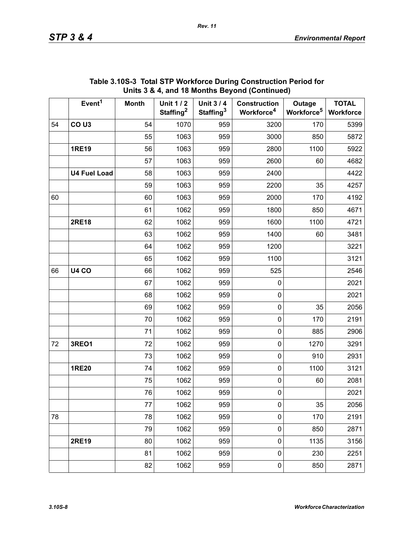|    | Event <sup>1</sup>  | <b>Month</b> | <b>Unit 1/2</b><br>Staffing <sup>2</sup> | Unit 3/4<br>Staffing <sup>3</sup> | <b>Construction</b><br>Workforce <sup>4</sup> | Outage<br>Workforce <sup>5</sup> | <b>TOTAL</b><br>Workforce |
|----|---------------------|--------------|------------------------------------------|-----------------------------------|-----------------------------------------------|----------------------------------|---------------------------|
| 54 | CO <sub>U3</sub>    | 54           | 1070                                     | 959                               | 3200                                          | 170                              | 5399                      |
|    |                     | 55           | 1063                                     | 959                               | 3000                                          | 850                              | 5872                      |
|    | <b>1RE19</b>        | 56           | 1063                                     | 959                               | 2800                                          | 1100                             | 5922                      |
|    |                     | 57           | 1063                                     | 959                               | 2600                                          | 60                               | 4682                      |
|    | <b>U4 Fuel Load</b> | 58           | 1063                                     | 959                               | 2400                                          |                                  | 4422                      |
|    |                     | 59           | 1063                                     | 959                               | 2200                                          | 35                               | 4257                      |
| 60 |                     | 60           | 1063                                     | 959                               | 2000                                          | 170                              | 4192                      |
|    |                     | 61           | 1062                                     | 959                               | 1800                                          | 850                              | 4671                      |
|    | <b>2RE18</b>        | 62           | 1062                                     | 959                               | 1600                                          | 1100                             | 4721                      |
|    |                     | 63           | 1062                                     | 959                               | 1400                                          | 60                               | 3481                      |
|    |                     | 64           | 1062                                     | 959                               | 1200                                          |                                  | 3221                      |
|    |                     | 65           | 1062                                     | 959                               | 1100                                          |                                  | 3121                      |
| 66 | <b>U4 CO</b>        | 66           | 1062                                     | 959                               | 525                                           |                                  | 2546                      |
|    |                     | 67           | 1062                                     | 959                               | 0                                             |                                  | 2021                      |
|    |                     | 68           | 1062                                     | 959                               | $\pmb{0}$                                     |                                  | 2021                      |
|    |                     | 69           | 1062                                     | 959                               | $\pmb{0}$                                     | 35                               | 2056                      |
|    |                     | 70           | 1062                                     | 959                               | $\mathbf 0$                                   | 170                              | 2191                      |
|    |                     | 71           | 1062                                     | 959                               | $\pmb{0}$                                     | 885                              | 2906                      |
| 72 | 3REO1               | 72           | 1062                                     | 959                               | $\mathbf 0$                                   | 1270                             | 3291                      |
|    |                     | 73           | 1062                                     | 959                               | $\pmb{0}$                                     | 910                              | 2931                      |
|    | <b>1RE20</b>        | 74           | 1062                                     | 959                               | $\mathbf 0$                                   | 1100                             | 3121                      |
|    |                     | 75           | 1062                                     | 959                               | $\mathbf 0$                                   | 60                               | 2081                      |
|    |                     | 76           | 1062                                     | 959                               | 0                                             |                                  | 2021                      |
|    |                     | 77           | 1062                                     | 959                               | $\pmb{0}$                                     | 35                               | 2056                      |
| 78 |                     | 78           | 1062                                     | 959                               | $\pmb{0}$                                     | 170                              | 2191                      |
|    |                     | 79           | 1062                                     | 959                               | $\pmb{0}$                                     | 850                              | 2871                      |
|    | <b>2RE19</b>        | 80           | 1062                                     | 959                               | $\pmb{0}$                                     | 1135                             | 3156                      |
|    |                     | 81           | 1062                                     | 959                               | $\pmb{0}$                                     | 230                              | 2251                      |
|    |                     | 82           | 1062                                     | 959                               | $\pmb{0}$                                     | 850                              | 2871                      |

## **Table 3.10S-3 Total STP Workforce During Construction Period for Units 3 & 4, and 18 Months Beyond (Continued)**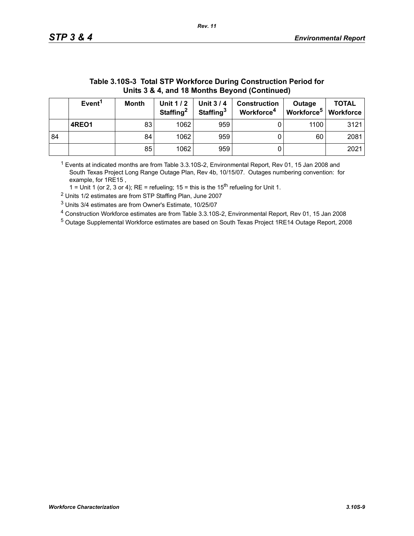| Units 3 & 4, and 18 Months Beyond (Continued) |                                                                                                                                                                                                                                       |    |      |     |  |      |      |  |  |
|-----------------------------------------------|---------------------------------------------------------------------------------------------------------------------------------------------------------------------------------------------------------------------------------------|----|------|-----|--|------|------|--|--|
|                                               | Event <sup>1</sup><br><b>TOTAL</b><br>Unit 1/2<br><b>Month</b><br>Unit 3/4<br><b>Construction</b><br>Outage<br>Workforce <sup>5</sup><br>Staffing <sup>2</sup><br>Staffing <sup>3</sup><br>Workforce <sup>4</sup><br><b>Workforce</b> |    |      |     |  |      |      |  |  |
|                                               | 4REO1                                                                                                                                                                                                                                 | 83 | 1062 | 959 |  | 1100 | 3121 |  |  |
| 84                                            |                                                                                                                                                                                                                                       | 84 | 1062 | 959 |  | 60   | 2081 |  |  |
|                                               |                                                                                                                                                                                                                                       | 85 | 1062 | 959 |  |      | 2021 |  |  |

# **Table 3.10S-3 Total STP Workforce During Construction Period for**

 $1$  Events at indicated months are from Table 3.3.10S-2, Environmental Report, Rev 01, 15 Jan 2008 and South Texas Project Long Range Outage Plan, Rev 4b, 10/15/07. Outages numbering convention: for example, for 1RE15 ,

1 = Unit 1 (or 2, 3 or 4); RE = refueling; 15 = this is the  $15<sup>th</sup>$  refueling for Unit 1.

2 Units 1/2 estimates are from STP Staffing Plan, June 2007

3 Units 3/4 estimates are from Owner's Estimate, 10/25/07

4 Construction Workforce estimates are from Table 3.3.10S-2, Environmental Report, Rev 01, 15 Jan 2008

5 Outage Supplemental Workforce estimates are based on South Texas Project 1RE14 Outage Report, 2008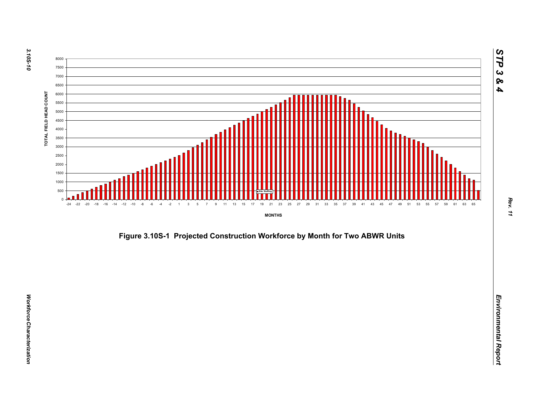

*Figure 3.10S-1 Projected Construction Workforce by Month for Two ABWR Units*<br>*Environmental Report*<br>Benefits and the structure of the structure of the structure of the structure of the structure of the structure<br>of the st

*Workforce Characterization* 

Workforce Characterization

*STP 3 & 4*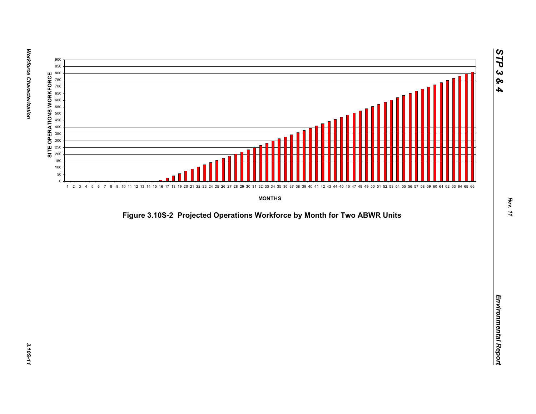

*Figure 3.10S-2 Projected Operations Workforce by Month for Two ABWR Units*<br>*Environmental Report*<br>Projected Operations Workforce by Month for Two ABWR Units<br>Projected Operations Workforce by Month for Two ABWR Units<br>Proje

*STP 3 & 4*